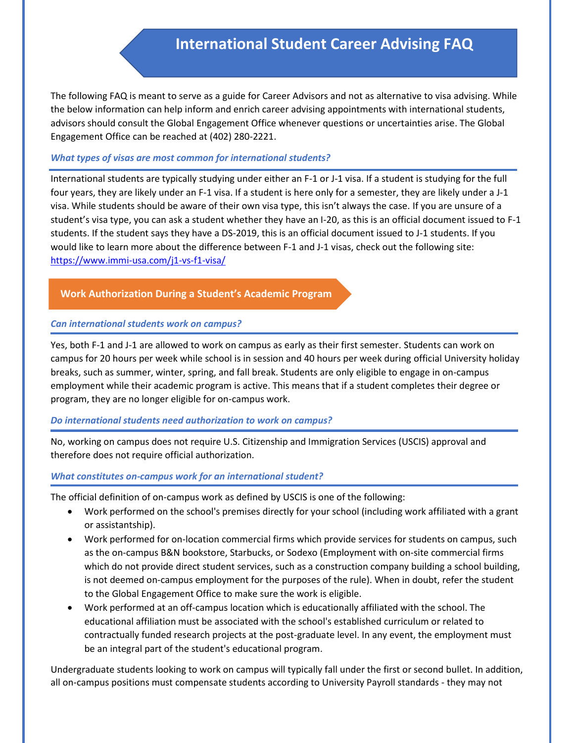# **International Student Career Advising FAQ**

The following FAQ is meant to serve as a guide for Career Advisors and not as alternative to visa advising. While the below information can help inform and enrich career advising appointments with international students, advisors should consult the Global Engagement Office whenever questions or uncertainties arise. The Global Engagement Office can be reached a[t \(402\) 280-2221.](https://www.google.com/search?q=global+engagement+office&rlz=1C1GCEA_enUS807US807&oq=global+engagement+office&aqs=chrome..69i57j0l6j69i65.13436j0j7&sourceid=chrome&ie=UTF-8)

#### *What types of visas are most common for international students?*

International students are typically studying under either an F-1 or J-1 visa. If a student is studying for the full four years, they are likely under an F-1 visa. If a student is here only for a semester, they are likely under a J-1 visa. While students should be aware of their own visa type, this isn't always the case. If you are unsure of a student's visa type, you can ask a student whether they have an I-20, as this is an official document issued to F-1 students. If the student says they have a DS-2019, this is an official document issued to J-1 students. If you would like to learn more about the difference between F-1 and J-1 visas, check out the following site: <https://www.immi-usa.com/j1-vs-f1-visa/>

## **Work Authorization During a Student's Academic Program**

#### *Can international students work on campus?*

Yes, both F-1 and J-1 are allowed to work on campus as early as their first semester. Students can work on campus for 20 hours per week while school is in session and 40 hours per week during official University holiday breaks, such as summer, winter, spring, and fall break. Students are only eligible to engage in on-campus employment while their academic program is active. This means that if a student completes their degree or program, they are no longer eligible for on-campus work.

## *Do international students need authorization to work on campus?*

No, working on campus does not require U.S. Citizenship and Immigration Services (USCIS) approval and therefore does not require official authorization.

#### *What constitutes on-campus work for an international student?*

The official definition of on-campus work as defined by USCIS is one of the following:

- Work performed on the school's premises directly for your school (including work affiliated with a grant or assistantship).
- Work performed for on-location commercial firms which provide services for students on campus, such as the on-campus B&N bookstore, Starbucks, or Sodexo (Employment with on-site commercial firms which do not provide direct student services, such as a construction company building a school building, is not deemed on-campus employment for the purposes of the rule). When in doubt, refer the student to the Global Engagement Office to make sure the work is eligible.
- Work performed at an off-campus location which is educationally affiliated with the school. The educational affiliation must be associated with the school's established curriculum or related to contractually funded research projects at the post-graduate level. In any event, the employment must be an integral part of the student's educational program.

Undergraduate students looking to work on campus will typically fall under the first or second bullet. In addition, all on-campus positions must compensate students according to University Payroll standards - they may not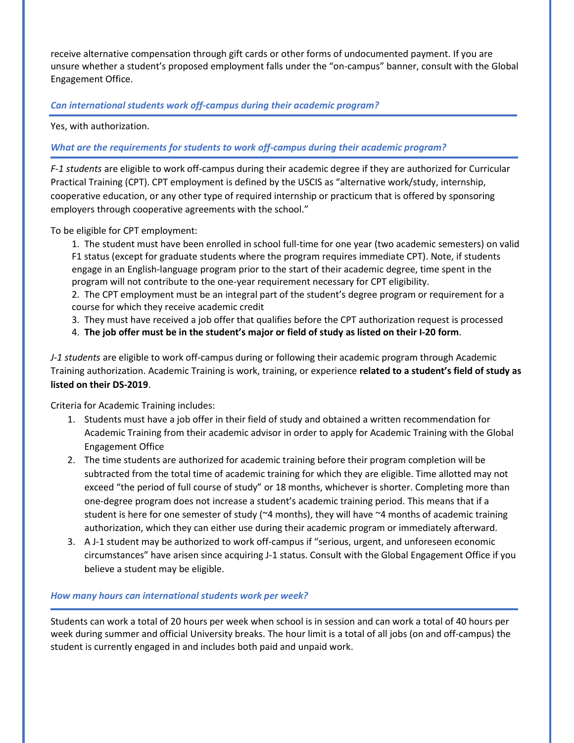receive alternative compensation through gift cards or other forms of undocumented payment. If you are unsure whether a student's proposed employment falls under the "on-campus" banner, consult with the Global Engagement Office.

# *Can international students work off-campus during their academic program?*

Yes, with authorization.

## *What are the requirements for students to work off-campus during their academic program?*

*F-1 students* are eligible to work off-campus during their academic degree if they are authorized for Curricular Practical Training (CPT). CPT employment is defined by the USCIS as "alternative work/study, internship, cooperative education, or any other type of required internship or practicum that is offered by sponsoring employers through cooperative agreements with the school."

To be eligible for CPT employment:

1. The student must have been enrolled in school full-time for one year (two academic semesters) on valid F1 status (except for graduate students where the program requires immediate CPT). Note, if students engage in an English-language program prior to the start of their academic degree, time spent in the program will not contribute to the one-year requirement necessary for CPT eligibility.

2. The CPT employment must be an integral part of the student's degree program or requirement for a course for which they receive academic credit

3. They must have received a job offer that qualifies before the CPT authorization request is processed

4. **The job offer must be in the student's major or field of study as listed on their I-20 form**.

*J-1 students* are eligible to work off-campus during or following their academic program through Academic Training authorization. Academic Training is work, training, or experience **related to a student's field of study as listed on their DS-2019**.

Criteria for Academic Training includes:

- 1. Students must have a job offer in their field of study and obtained a written recommendation for Academic Training from their academic advisor in order to apply for Academic Training with the Global Engagement Office
- 2. The time students are authorized for academic training before their program completion will be subtracted from the total time of academic training for which they are eligible. Time allotted may not exceed "the period of full course of study" or 18 months, whichever is shorter. Completing more than one-degree program does not increase a student's academic training period. This means that if a student is here for one semester of study ( $\approx$ 4 months), they will have  $\approx$ 4 months of academic training authorization, which they can either use during their academic program or immediately afterward.
- 3. A J-1 student may be authorized to work off-campus if "serious, urgent, and unforeseen economic circumstances" have arisen since acquiring J-1 status. Consult with the Global Engagement Office if you believe a student may be eligible.

## *How many hours can international students work per week?*

Students can work a total of 20 hours per week when school is in session and can work a total of 40 hours per week during summer and official University breaks. The hour limit is a total of all jobs (on and off-campus) the student is currently engaged in and includes both paid and unpaid work.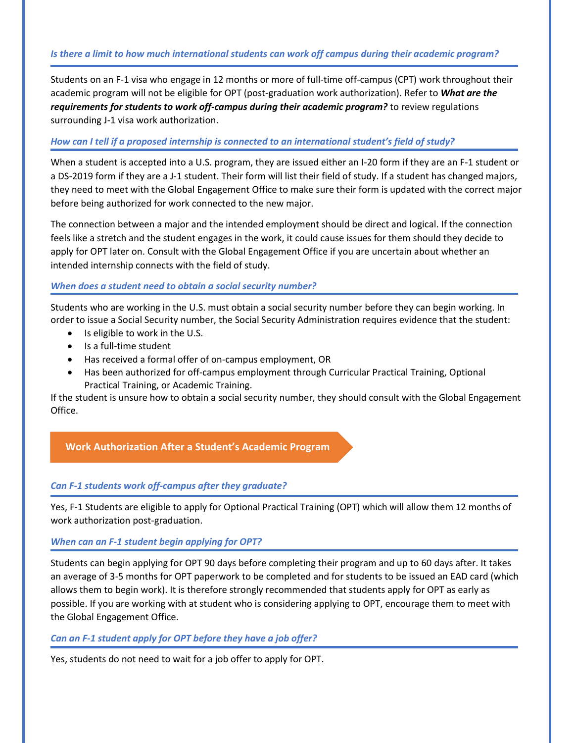# *Is there a limit to how much international students can work off campus during their academic program?*

Students on an F-1 visa who engage in 12 months or more of full-time off-campus (CPT) work throughout their academic program will not be eligible for OPT (post-graduation work authorization). Refer to *What are the requirements for students to work off-campus during their academic program?* to review regulations surrounding J-1 visa work authorization.

# *How can I tell if a proposed internship is connected to an international student's field of study?*

When a student is accepted into a U.S. program, they are issued either an I-20 form if they are an F-1 student or a DS-2019 form if they are a J-1 student. Their form will list their field of study. If a student has changed majors, they need to meet with the Global Engagement Office to make sure their form is updated with the correct major before being authorized for work connected to the new major.

The connection between a major and the intended employment should be direct and logical. If the connection feels like a stretch and the student engages in the work, it could cause issues for them should they decide to apply for OPT later on. Consult with the Global Engagement Office if you are uncertain about whether an intended internship connects with the field of study.

#### *When does a student need to obtain a social security number?*

Students who are working in the U.S. must obtain a social security number before they can begin working. In order to issue a Social Security number, the Social Security Administration requires evidence that the student:

- Is eligible to work in the U.S.
- Is a full-time student
- Has received a formal offer of on-campus employment, OR
- Has been authorized for off-campus employment through Curricular Practical Training, Optional Practical Training, or Academic Training.

If the student is unsure how to obtain a social security number, they should consult with the Global Engagement Office.

# **Work Authorization After a Student's Academic Program**

## *Can F-1 students work off-campus after they graduate?*

Yes, F-1 Students are eligible to apply for Optional Practical Training (OPT) which will allow them 12 months of work authorization post-graduation.

#### *When can an F-1 student begin applying for OPT?*

Students can begin applying for OPT 90 days before completing their program and up to 60 days after. It takes an average of 3-5 months for OPT paperwork to be completed and for students to be issued an EAD card (which allows them to begin work). It is therefore strongly recommended that students apply for OPT as early as possible. If you are working with at student who is considering applying to OPT, encourage them to meet with the Global Engagement Office.

#### *Can an F-1 student apply for OPT before they have a job offer?*

Yes, students do not need to wait for a job offer to apply for OPT.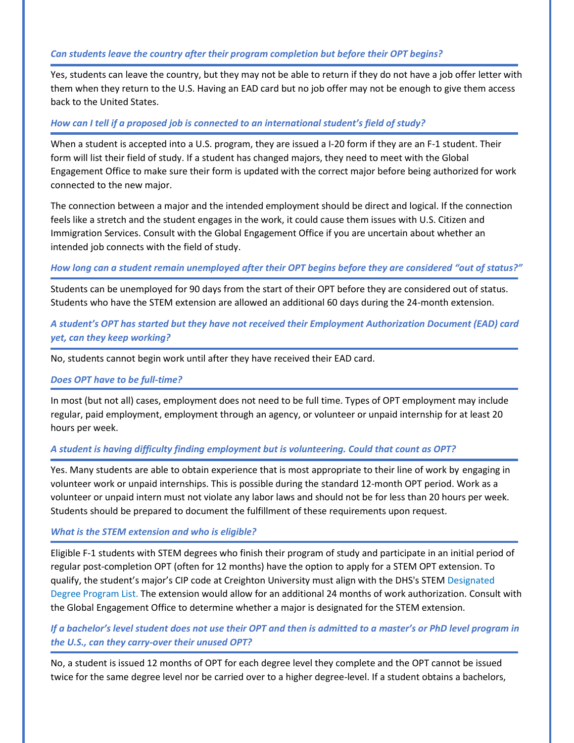#### *Can students leave the country after their program completion but before their OPT begins?*

Yes, students can leave the country, but they may not be able to return if they do not have a job offer letter with them when they return to the U.S. Having an EAD card but no job offer may not be enough to give them access back to the United States.

#### *How can I tell if a proposed job is connected to an international student's field of study?*

When a student is accepted into a U.S. program, they are issued a I-20 form if they are an F-1 student. Their form will list their field of study. If a student has changed majors, they need to meet with the Global Engagement Office to make sure their form is updated with the correct major before being authorized for work connected to the new major.

The connection between a major and the intended employment should be direct and logical. If the connection feels like a stretch and the student engages in the work, it could cause them issues with U.S. Citizen and Immigration Services. Consult with the Global Engagement Office if you are uncertain about whether an intended job connects with the field of study.

#### *How long can a student remain unemployed after their OPT begins before they are considered "out of status?"*

Students can be unemployed for 90 days from the start of their OPT before they are considered out of status. Students who have the STEM extension are allowed an additional 60 days during the 24-month extension.

# *A student's OPT has started but they have not received their Employment Authorization Document (EAD) card yet, can they keep working?*

No, students cannot begin work until after they have received their EAD card.

#### *Does OPT have to be full-time?*

In most (but not all) cases, employment does not need to be full time. Types of OPT employment may include regular, paid employment, employment through an agency, or volunteer or unpaid internship for at least 20 hours per week.

## *A student is having difficulty finding employment but is volunteering. Could that count as OPT?*

Yes. Many students are able to obtain experience that is most appropriate to their line of work by engaging in volunteer work or unpaid internships. This is possible during the standard 12-month OPT period. Work as a volunteer or unpaid intern must not violate any labor laws and should not be for less than 20 hours per week. Students should be prepared to document the fulfillment of these requirements upon request.

#### *What is the STEM extension and who is eligible?*

Eligible F-1 students with STEM degrees who finish their program of study and participate in an initial period of regular [post-completion OPT](https://studyinthestates.dhs.gov/training-opportunities-in-the-united-states) (often for 12 months) have the option to apply for a STEM OPT extension. To qualify, the student's major's CIP code at Creighton University must align with the DHS's STEM [Designated](https://www.ice.gov/sites/default/files/documents/Document/2016/stem-list.pdf)  [Degree Program List](https://www.ice.gov/sites/default/files/documents/Document/2016/stem-list.pdf). The extension would allow for an additional 24 months of work authorization. Consult with the Global Engagement Office to determine whether a major is designated for the STEM extension.

# *If a bachelor's level student does not use their OPT and then is admitted to a master's or PhD level program in the U.S., can they carry-over their unused OPT?*

No, a student is issued 12 months of OPT for each degree level they complete and the OPT cannot be issued twice for the same degree level nor be carried over to a higher degree-level. If a student obtains a bachelors,